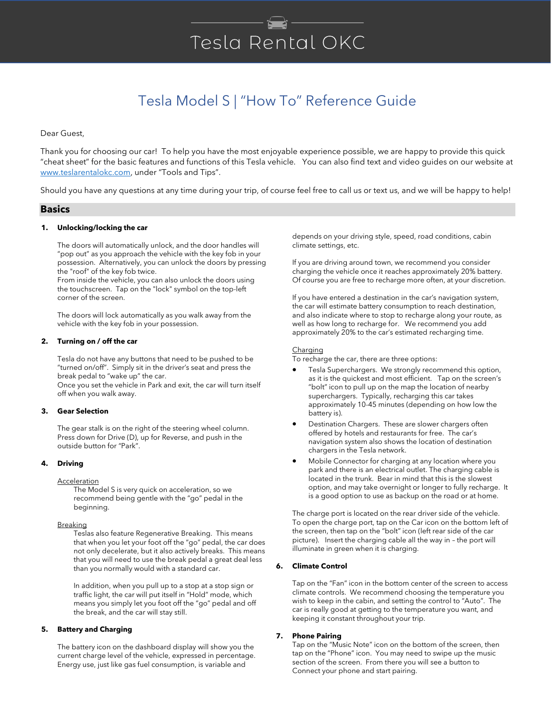# Tesla Rental OKC

# Tesla Model S | "How To" Reference Guide

Dear Guest,

Thank you for choosing our car! To help you have the most enjoyable experience possible, we are happy to provide this quick "cheat sheet" for the basic features and functions of this Tesla vehicle. You can also find text and video guides on our website at [www.teslarentalokc.com](http://www.teslarentalokc.com/), under "Tools and Tips".

Should you have any questions at any time during your trip, of course feel free to call us or text us, and we will be happy to help!

#### **Basics**

#### **1. Unlocking/locking the car**

The doors will automatically unlock, and the door handles will "pop out" as you approach the vehicle with the key fob in your possession. Alternatively, you can unlock the doors by pressing the "roof" of the key fob twice.

From inside the vehicle, you can also unlock the doors using the touchscreen. Tap on the "lock" symbol on the top-left corner of the screen.

The doors will lock automatically as you walk away from the vehicle with the key fob in your possession.

#### **2. Turning on / off the car**

Tesla do not have any buttons that need to be pushed to be "turned on/off". Simply sit in the driver's seat and press the break pedal to "wake up" the car.

Once you set the vehicle in Park and exit, the car will turn itself off when you walk away.

#### **3. Gear Selection**

The gear stalk is on the right of the steering wheel column. Press down for Drive (D), up for Reverse, and push in the outside button for "Park".

#### **4. Driving**

#### **Acceleration**

The Model S is very quick on acceleration, so we recommend being gentle with the "go" pedal in the beginning.

#### **Breaking**

Teslas also feature Regenerative Breaking. This means that when you let your foot off the "go" pedal, the car does not only decelerate, but it also actively breaks. This means that you will need to use the break pedal a great deal less than you normally would with a standard car.

In addition, when you pull up to a stop at a stop sign or traffic light, the car will put itself in "Hold" mode, which means you simply let you foot off the "go" pedal and off the break, and the car will stay still.

#### **5. Battery and Charging**

The battery icon on the dashboard display will show you the current charge level of the vehicle, expressed in percentage. Energy use, just like gas fuel consumption, is variable and

depends on your driving style, speed, road conditions, cabin climate settings, etc.

If you are driving around town, we recommend you consider charging the vehicle once it reaches approximately 20% battery. Of course you are free to recharge more often, at your discretion.

If you have entered a destination in the car's navigation system, the car will estimate battery consumption to reach destination, and also indicate where to stop to recharge along your route, as well as how long to recharge for. We recommend you add approximately 20% to the car's estimated recharging time.

#### Charging

To recharge the car, there are three options:

- Tesla Superchargers. We strongly recommend this option, as it is the quickest and most efficient. Tap on the screen's "bolt" icon to pull up on the map the location of nearby superchargers. Typically, recharging this car takes approximately 10-45 minutes (depending on how low the battery is).
- Destination Chargers. These are slower chargers often offered by hotels and restaurants for free. The car's navigation system also shows the location of destination chargers in the Tesla network.
- Mobile Connector for charging at any location where you park and there is an electrical outlet. The charging cable is located in the trunk. Bear in mind that this is the slowest option, and may take overnight or longer to fully recharge. It is a good option to use as backup on the road or at home.

The charge port is located on the rear driver side of the vehicle. To open the charge port, tap on the Car icon on the bottom left of the screen, then tap on the "bolt" icon (left rear side of the car picture). Insert the charging cable all the way in – the port will illuminate in green when it is charging.

#### **6. Climate Control**

Tap on the "Fan" icon in the bottom center of the screen to access climate controls. We recommend choosing the temperature you wish to keep in the cabin, and setting the control to "Auto". The car is really good at getting to the temperature you want, and keeping it constant throughout your trip.

#### **7. Phone Pairing**

Tap on the "Music Note" icon on the bottom of the screen, then tap on the "Phone" icon. You may need to swipe up the music section of the screen. From there you will see a button to Connect your phone and start pairing.